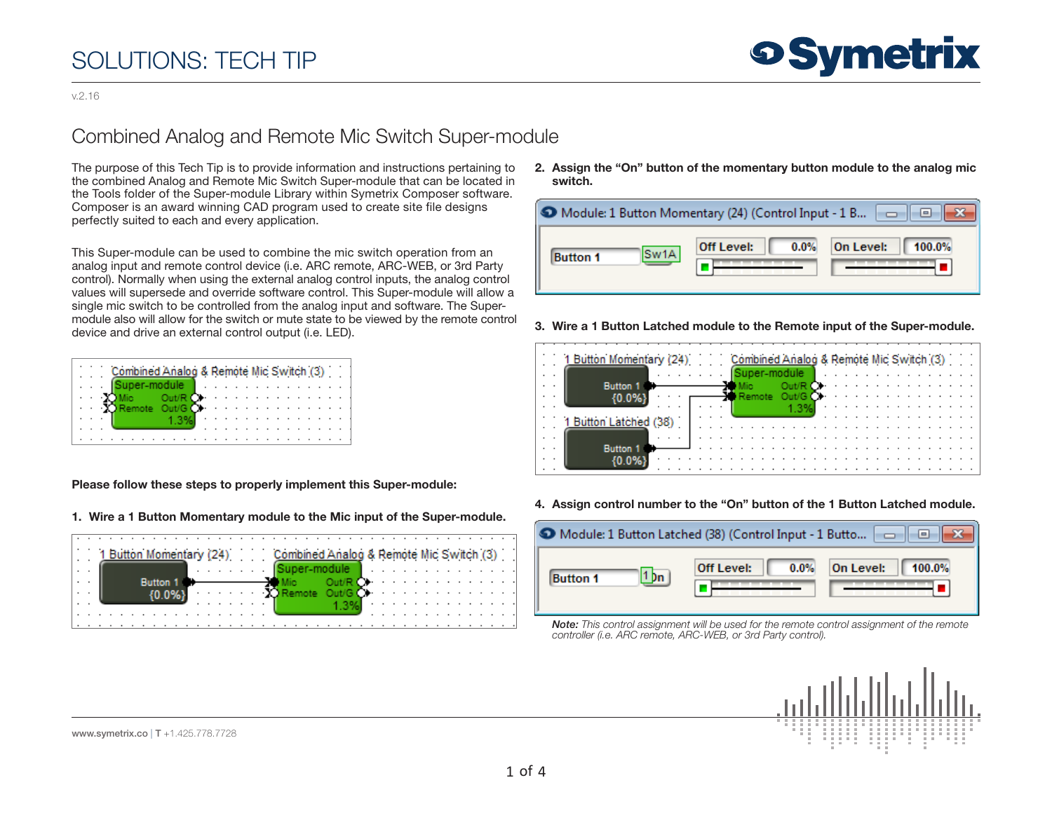v.2.16

#### Combined Analog and Remote Mic Switch Super-module

The purpose of this Tech Tip is to provide information and instructions pertaining to the combined Analog and Remote Mic Switch Super-module that can be located in the Tools folder of the Super-module Library within Symetrix Composer software. Composer is an award winning CAD program used to create site file designs perfectly suited to each and every application.

This Super-module can be used to combine the mic switch operation from an analog input and remote control device (i.e. ARC remote, ARC-WEB, or 3rd Party control). Normally when using the external analog control inputs, the analog control values will supersede and override software control. This Super-module will allow a single mic switch to be controlled from the analog input and software. The Supermodule also will allow for the switch or mute state to be viewed by the remote control device and drive an external control output (i.e. LED).

|  |  |  |  |  | Combined Analog & Remote Mic Switch (3) |  |  |  |  |  |  |  |  |
|--|--|--|--|--|-----------------------------------------|--|--|--|--|--|--|--|--|
|  |  |  |  |  |                                         |  |  |  |  |  |  |  |  |
|  |  |  |  |  |                                         |  |  |  |  |  |  |  |  |
|  |  |  |  |  |                                         |  |  |  |  |  |  |  |  |
|  |  |  |  |  |                                         |  |  |  |  |  |  |  |  |
|  |  |  |  |  |                                         |  |  |  |  |  |  |  |  |
|  |  |  |  |  |                                         |  |  |  |  |  |  |  |  |

Please follow these steps to properly implement this Super-module:

1. Wire a 1 Button Momentary module to the Mic input of the Super-module.



2. Assign the "On" button of the momentary button module to the analog mic switch.

| • Module: 1 Button Momentary (24) (Control Input - 1 B $\ \cdot\ $ |                   |                       |  |  |  |  |  |  |  |  |
|--------------------------------------------------------------------|-------------------|-----------------------|--|--|--|--|--|--|--|--|
| Sw1A                                                               | $0.0\%$           | On Level:             |  |  |  |  |  |  |  |  |
| <b>Button 1</b>                                                    | <b>Off Level:</b> | $\blacksquare$ 100.0% |  |  |  |  |  |  |  |  |

3. Wire a 1 Button Latched module to the Remote input of the Super-module.

|  | 1 Button Momentary (24) Combined Analog & Remote Mic Switch (3) |  |  |  |  |  |  |  |  |  |  |  |  |
|--|-----------------------------------------------------------------|--|--|--|--|--|--|--|--|--|--|--|--|
|  |                                                                 |  |  |  |  |  |  |  |  |  |  |  |  |
|  | <b>Button</b>                                                   |  |  |  |  |  |  |  |  |  |  |  |  |
|  |                                                                 |  |  |  |  |  |  |  |  |  |  |  |  |
|  |                                                                 |  |  |  |  |  |  |  |  |  |  |  |  |
|  | Button Latched (38)                                             |  |  |  |  |  |  |  |  |  |  |  |  |
|  |                                                                 |  |  |  |  |  |  |  |  |  |  |  |  |
|  |                                                                 |  |  |  |  |  |  |  |  |  |  |  |  |
|  | <b>Button</b>                                                   |  |  |  |  |  |  |  |  |  |  |  |  |
|  |                                                                 |  |  |  |  |  |  |  |  |  |  |  |  |
|  |                                                                 |  |  |  |  |  |  |  |  |  |  |  |  |

4. Assign control number to the "On" button of the 1 Button Latched module.



*Note: This control assignment will be used for the remote control assignment of the remote controller (i.e. ARC remote, ARC-WEB, or 3rd Party control).*

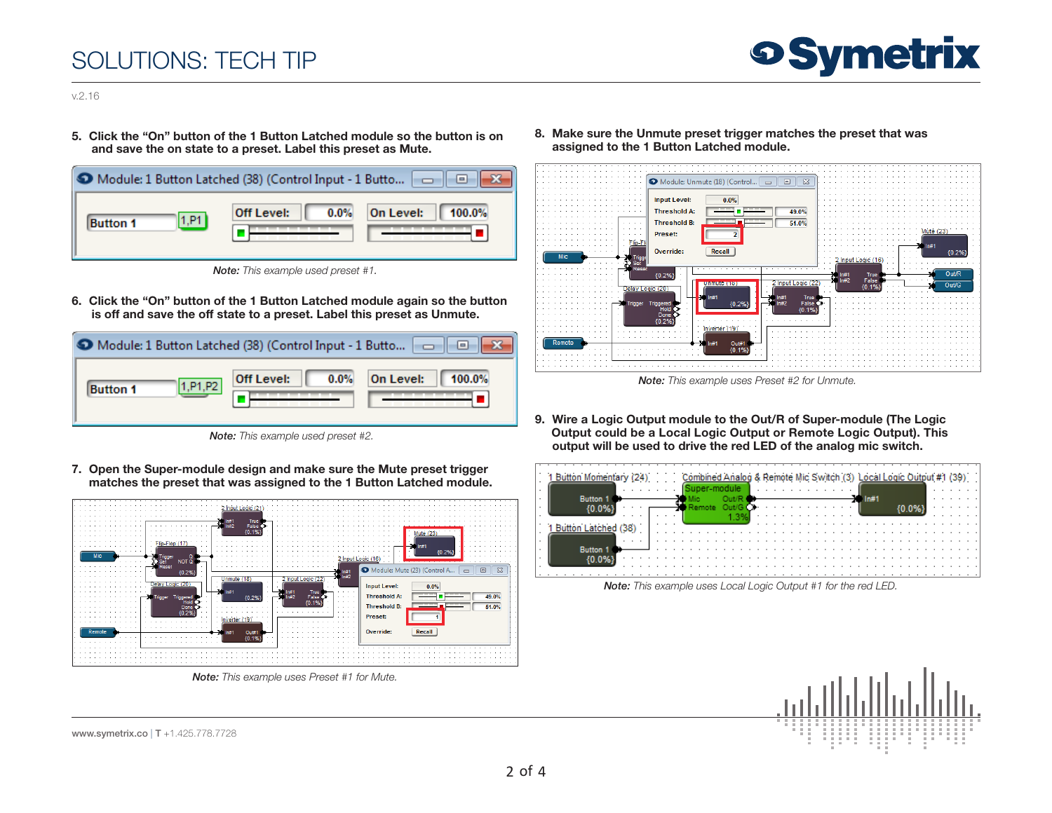

v.2.16

5. Click the "On" button of the 1 Button Latched module so the button is on and save the on state to a preset. Label this preset as Mute.

| Module: 1 Button Latched (38) (Control Input - 1 Butto $\ \cdot\ $ |                   | $\vert$ = $\vert$ |
|--------------------------------------------------------------------|-------------------|-------------------|
| 1.P1                                                               | <b>Off Level:</b> | On Level:         |
| <b>Button 1</b>                                                    | 0.0%              | 100.0%            |

 *Note: This example used preset #1.*

6. Click the "On" button of the 1 Button Latched module again so the button is off and save the off state to a preset. Label this preset as Unmute.

| • Module: 1 Button Latched (38) (Control Input - 1 Butto $\Box$ |            |           |  |  |  |  |  |  |  |  |  |
|-----------------------------------------------------------------|------------|-----------|--|--|--|--|--|--|--|--|--|
| 1.P1.P2                                                         | 0.0%       | On Level: |  |  |  |  |  |  |  |  |  |
| <b>Button 1</b>                                                 | Off Level: | 100.0%    |  |  |  |  |  |  |  |  |  |

 *Note: This example used preset #2.*

7. Open the Super-module design and make sure the Mute preset trigger matches the preset that was assigned to the 1 Button Latched module.



 *Note: This example uses Preset #1 for Mute.*

8. Make sure the Unmute preset trigger matches the preset that was assigned to the 1 Button Latched module.



 *Note: This example uses Preset #2 for Unmute.*

9. Wire a Logic Output module to the Out/R of Super-module (The Logic Output could be a Local Logic Output or Remote Logic Output). This output will be used to drive the red LED of the analog mic switch.



 *Note: This example uses Local Logic Output #1 for the red LED.*

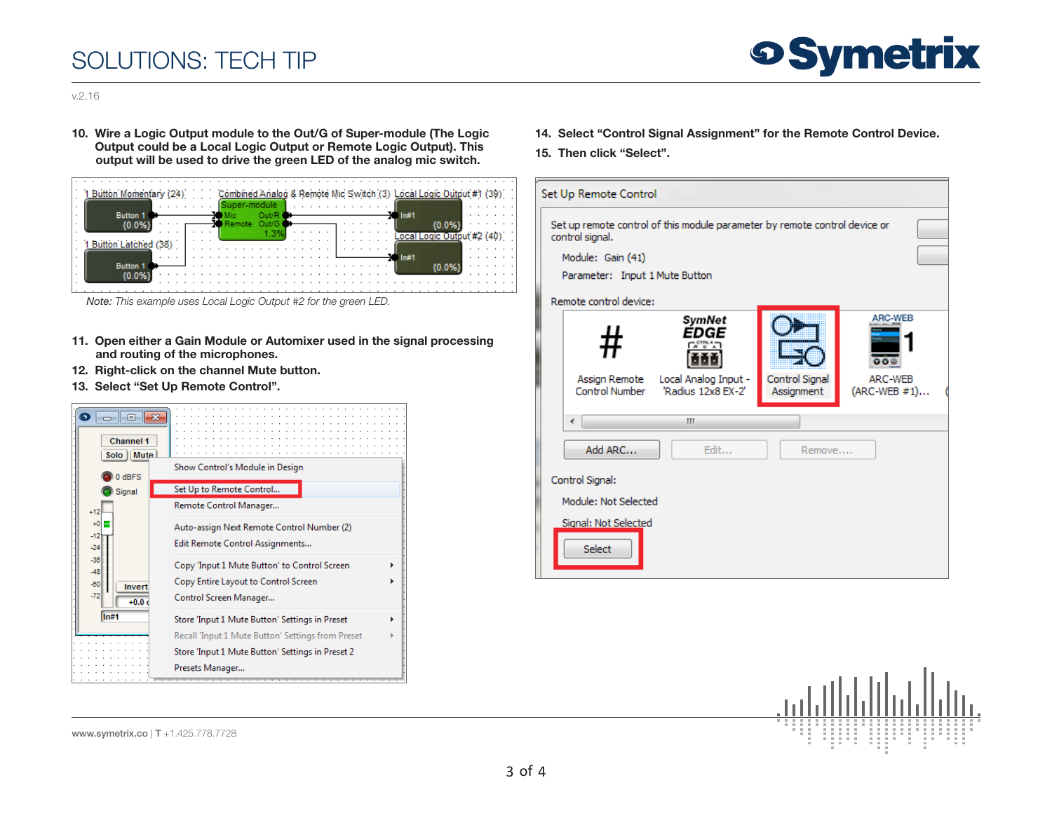

v.2.16

10. Wire a Logic Output module to the Out/G of Super-module (The Logic Output could be a Local Logic Output or Remote Logic Output). This output will be used to drive the green LED of the analog mic switch.

| 1 Button Momentary (24) |  | Combined Analog & Remote Mic Switch (3) Local Logic Output #1 (39) | $\cdot$ $\cdot$ |
|-------------------------|--|--------------------------------------------------------------------|-----------------|
|                         |  |                                                                    |                 |
| <b>Button</b>           |  | ln#1                                                               |                 |
|                         |  |                                                                    |                 |
|                         |  | cal Logic Output #2 (40)                                           |                 |
|                         |  |                                                                    |                 |
|                         |  | In#1                                                               |                 |
| <b>Button</b>           |  |                                                                    |                 |
|                         |  |                                                                    |                 |
|                         |  |                                                                    |                 |
|                         |  |                                                                    |                 |

*Note: This example uses Local Logic Output #2 for the green LED.*

- 11. Open either a Gain Module or Automixer used in the signal processing and routing of the microphones.
- 12. Right-click on the channel Mute button.
- 13. Select "Set Up Remote Control".



- 14. Select "Control Signal Assignment" for the Remote Control Device.
- 15. Then click "Select".

|                      | Set Up Remote Control                                                                         |                                                              |                              |                                            |  |  |  |  |  |  |  |
|----------------------|-----------------------------------------------------------------------------------------------|--------------------------------------------------------------|------------------------------|--------------------------------------------|--|--|--|--|--|--|--|
|                      | Set up remote control of this module parameter by remote control device or<br>control signal. |                                                              |                              |                                            |  |  |  |  |  |  |  |
|                      | Module: Gain (41)                                                                             |                                                              |                              |                                            |  |  |  |  |  |  |  |
|                      | Parameter: Input 1 Mute Button                                                                |                                                              |                              |                                            |  |  |  |  |  |  |  |
|                      | Remote control device:                                                                        |                                                              |                              |                                            |  |  |  |  |  |  |  |
|                      | Assign Remote<br><b>Control Number</b>                                                        | SymNet<br>EDGE<br>Local Analog Input -<br>'Radius 12x8 EX-2' | Control Signal<br>Assignment | ARC-WEB<br>ōΘ<br>ARC-WEB<br>$(ARC-WEB #1)$ |  |  |  |  |  |  |  |
|                      |                                                                                               |                                                              |                              |                                            |  |  |  |  |  |  |  |
|                      | ∢                                                                                             | m.                                                           |                              |                                            |  |  |  |  |  |  |  |
|                      | Add ARC                                                                                       | Edit                                                         | Remove                       |                                            |  |  |  |  |  |  |  |
|                      | Control Signal:                                                                               |                                                              |                              |                                            |  |  |  |  |  |  |  |
| Module: Not Selected |                                                                                               |                                                              |                              |                                            |  |  |  |  |  |  |  |
|                      | Signal: Not Selected<br>Select                                                                |                                                              |                              |                                            |  |  |  |  |  |  |  |